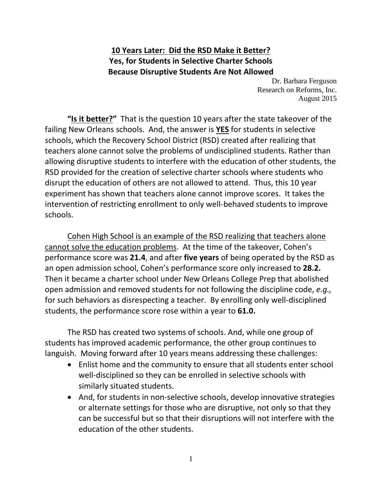## **10 Years Later: Did the RSD Make it Better? Yes, for Students in Selective Charter Schools Because Disruptive Students Are Not Allowed**

Dr. Barbara Ferguson Research on Reforms, Inc. August 2015

**"Is it better?"** That is the question 10 years after the state takeover of the failing New Orleans schools. And, the answer is **YES** for students in selective schools, which the Recovery School District (RSD) created after realizing that teachers alone cannot solve the problems of undisciplined students. Rather than allowing disruptive students to interfere with the education of other students, the RSD provided for the creation of selective charter schools where students who disrupt the education of others are not allowed to attend. Thus, this 10 year experiment has shown that teachers alone cannot improve scores. It takes the intervention of restricting enrollment to only well-behaved students to improve schools.

Cohen High School is an example of the RSD realizing that teachers alone cannot solve the education problems. At the time of the takeover, Cohen's performance score was **21.4**, and after **five years** of being operated by the RSD as an open admission school, Cohen's performance score only increased to **28.2.** Then it became a charter school under New Orleans College Prep that abolished open admission and removed students for not following the discipline code, *e.g.,* for such behaviors as disrespecting a teacher. By enrolling only well-disciplined students, the performance score rose within a year to **61.0.**

The RSD has created two systems of schools. And, while one group of students has improved academic performance, the other group continues to languish. Moving forward after 10 years means addressing these challenges:

- Enlist home and the community to ensure that all students enter school well-disciplined so they can be enrolled in selective schools with similarly situated students.
- And, for students in non-selective schools, develop innovative strategies or alternate settings for those who are disruptive, not only so that they can be successful but so that their disruptions will not interfere with the education of the other students.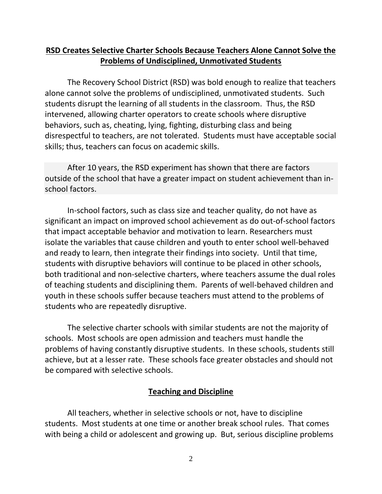### **RSD Creates Selective Charter Schools Because Teachers Alone Cannot Solve the Problems of Undisciplined, Unmotivated Students**

The Recovery School District (RSD) was bold enough to realize that teachers alone cannot solve the problems of undisciplined, unmotivated students. Such students disrupt the learning of all students in the classroom. Thus, the RSD intervened, allowing charter operators to create schools where disruptive behaviors, such as, cheating, lying, fighting, disturbing class and being disrespectful to teachers, are not tolerated. Students must have acceptable social skills; thus, teachers can focus on academic skills.

After 10 years, the RSD experiment has shown that there are factors outside of the school that have a greater impact on student achievement than inschool factors.

In-school factors, such as class size and teacher quality, do not have as significant an impact on improved school achievement as do out-of-school factors that impact acceptable behavior and motivation to learn. Researchers must isolate the variables that cause children and youth to enter school well-behaved and ready to learn, then integrate their findings into society. Until that time, students with disruptive behaviors will continue to be placed in other schools, both traditional and non-selective charters, where teachers assume the dual roles of teaching students and disciplining them. Parents of well-behaved children and youth in these schools suffer because teachers must attend to the problems of students who are repeatedly disruptive.

The selective charter schools with similar students are not the majority of schools. Most schools are open admission and teachers must handle the problems of having constantly disruptive students. In these schools, students still achieve, but at a lesser rate. These schools face greater obstacles and should not be compared with selective schools.

#### **Teaching and Discipline**

All teachers, whether in selective schools or not, have to discipline students. Most students at one time or another break school rules. That comes with being a child or adolescent and growing up. But, serious discipline problems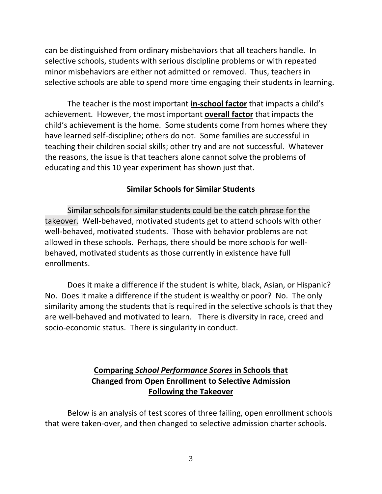can be distinguished from ordinary misbehaviors that all teachers handle. In selective schools, students with serious discipline problems or with repeated minor misbehaviors are either not admitted or removed. Thus, teachers in selective schools are able to spend more time engaging their students in learning.

The teacher is the most important **in-school factor** that impacts a child's achievement. However, the most important **overall factor** that impacts the child's achievement is the home. Some students come from homes where they have learned self-discipline; others do not. Some families are successful in teaching their children social skills; other try and are not successful. Whatever the reasons, the issue is that teachers alone cannot solve the problems of educating and this 10 year experiment has shown just that.

#### **Similar Schools for Similar Students**

Similar schools for similar students could be the catch phrase for the takeover. Well-behaved, motivated students get to attend schools with other well-behaved, motivated students. Those with behavior problems are not allowed in these schools. Perhaps, there should be more schools for wellbehaved, motivated students as those currently in existence have full enrollments.

Does it make a difference if the student is white, black, Asian, or Hispanic? No. Does it make a difference if the student is wealthy or poor? No. The only similarity among the students that is required in the selective schools is that they are well-behaved and motivated to learn. There is diversity in race, creed and socio-economic status. There is singularity in conduct.

## **Comparing** *School Performance Scores* **in Schools that Changed from Open Enrollment to Selective Admission Following the Takeover**

Below is an analysis of test scores of three failing, open enrollment schools that were taken-over, and then changed to selective admission charter schools.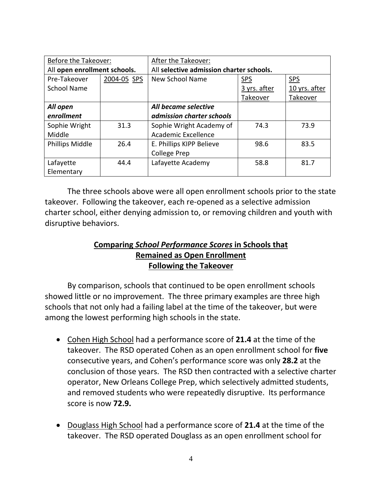| Before the Takeover:         |             | After the Takeover:                      |              |               |
|------------------------------|-------------|------------------------------------------|--------------|---------------|
| All open enrollment schools. |             | All selective admission charter schools. |              |               |
| Pre-Takeover                 | 2004-05 SPS | New School Name                          | <b>SPS</b>   | <b>SPS</b>    |
| <b>School Name</b>           |             |                                          | 3 yrs. after | 10 yrs. after |
|                              |             |                                          | Takeover     | Takeover      |
| All open                     |             | All became selective                     |              |               |
| enrollment                   |             | admission charter schools                |              |               |
| Sophie Wright                | 31.3        | Sophie Wright Academy of                 | 74.3         | 73.9          |
| Middle                       |             | Academic Excellence                      |              |               |
| <b>Phillips Middle</b>       | 26.4        | E. Phillips KIPP Believe                 | 98.6         | 83.5          |
|                              |             | <b>College Prep</b>                      |              |               |
| Lafayette                    | 44.4        | Lafayette Academy                        | 58.8         | 81.7          |
| Elementary                   |             |                                          |              |               |

The three schools above were all open enrollment schools prior to the state takeover. Following the takeover, each re-opened as a selective admission charter school, either denying admission to, or removing children and youth with disruptive behaviors.

## **Comparing** *School Performance Scores* **in Schools that Remained as Open Enrollment Following the Takeover**

By comparison, schools that continued to be open enrollment schools showed little or no improvement. The three primary examples are three high schools that not only had a failing label at the time of the takeover, but were among the lowest performing high schools in the state.

- Cohen High School had a performance score of **21.4** at the time of the takeover. The RSD operated Cohen as an open enrollment school for **five** consecutive years, and Cohen's performance score was only **28.2** at the conclusion of those years. The RSD then contracted with a selective charter operator, New Orleans College Prep, which selectively admitted students, and removed students who were repeatedly disruptive. Its performance score is now **72.9.**
- Douglass High School had a performance score of **21.4** at the time of the takeover. The RSD operated Douglass as an open enrollment school for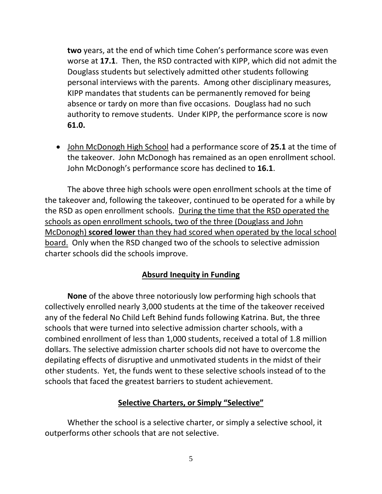**two** years, at the end of which time Cohen's performance score was even worse at **17.1**. Then, the RSD contracted with KIPP, which did not admit the Douglass students but selectively admitted other students following personal interviews with the parents. Among other disciplinary measures, KIPP mandates that students can be permanently removed for being absence or tardy on more than five occasions. Douglass had no such authority to remove students. Under KIPP, the performance score is now **61.0.**

 John McDonogh High School had a performance score of **25.1** at the time of the takeover. John McDonogh has remained as an open enrollment school. John McDonogh's performance score has declined to **16.1**.

The above three high schools were open enrollment schools at the time of the takeover and, following the takeover, continued to be operated for a while by the RSD as open enrollment schools. During the time that the RSD operated the schools as open enrollment schools, two of the three (Douglass and John McDonogh) **scored lower** than they had scored when operated by the local school board. Only when the RSD changed two of the schools to selective admission charter schools did the schools improve.

## **Absurd Inequity in Funding**

**None** of the above three notoriously low performing high schools that collectively enrolled nearly 3,000 students at the time of the takeover received any of the federal No Child Left Behind funds following Katrina. But, the three schools that were turned into selective admission charter schools, with a combined enrollment of less than 1,000 students, received a total of 1.8 million dollars. The selective admission charter schools did not have to overcome the depilating effects of disruptive and unmotivated students in the midst of their other students. Yet, the funds went to these selective schools instead of to the schools that faced the greatest barriers to student achievement.

#### **Selective Charters, or Simply "Selective"**

Whether the school is a selective charter, or simply a selective school, it outperforms other schools that are not selective.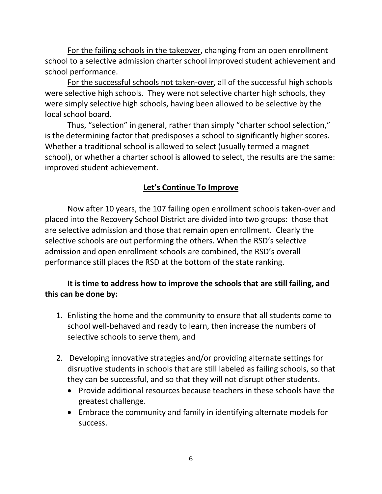For the failing schools in the takeover, changing from an open enrollment school to a selective admission charter school improved student achievement and school performance.

For the successful schools not taken-over, all of the successful high schools were selective high schools. They were not selective charter high schools, they were simply selective high schools, having been allowed to be selective by the local school board.

Thus, "selection" in general, rather than simply "charter school selection," is the determining factor that predisposes a school to significantly higher scores. Whether a traditional school is allowed to select (usually termed a magnet school), or whether a charter school is allowed to select, the results are the same: improved student achievement.

# **Let's Continue To Improve**

Now after 10 years, the 107 failing open enrollment schools taken-over and placed into the Recovery School District are divided into two groups: those that are selective admission and those that remain open enrollment. Clearly the selective schools are out performing the others. When the RSD's selective admission and open enrollment schools are combined, the RSD's overall performance still places the RSD at the bottom of the state ranking.

# **It is time to address how to improve the schools that are still failing, and this can be done by:**

- 1. Enlisting the home and the community to ensure that all students come to school well-behaved and ready to learn, then increase the numbers of selective schools to serve them, and
- 2. Developing innovative strategies and/or providing alternate settings for disruptive students in schools that are still labeled as failing schools, so that they can be successful, and so that they will not disrupt other students.
	- Provide additional resources because teachers in these schools have the greatest challenge.
	- Embrace the community and family in identifying alternate models for success.